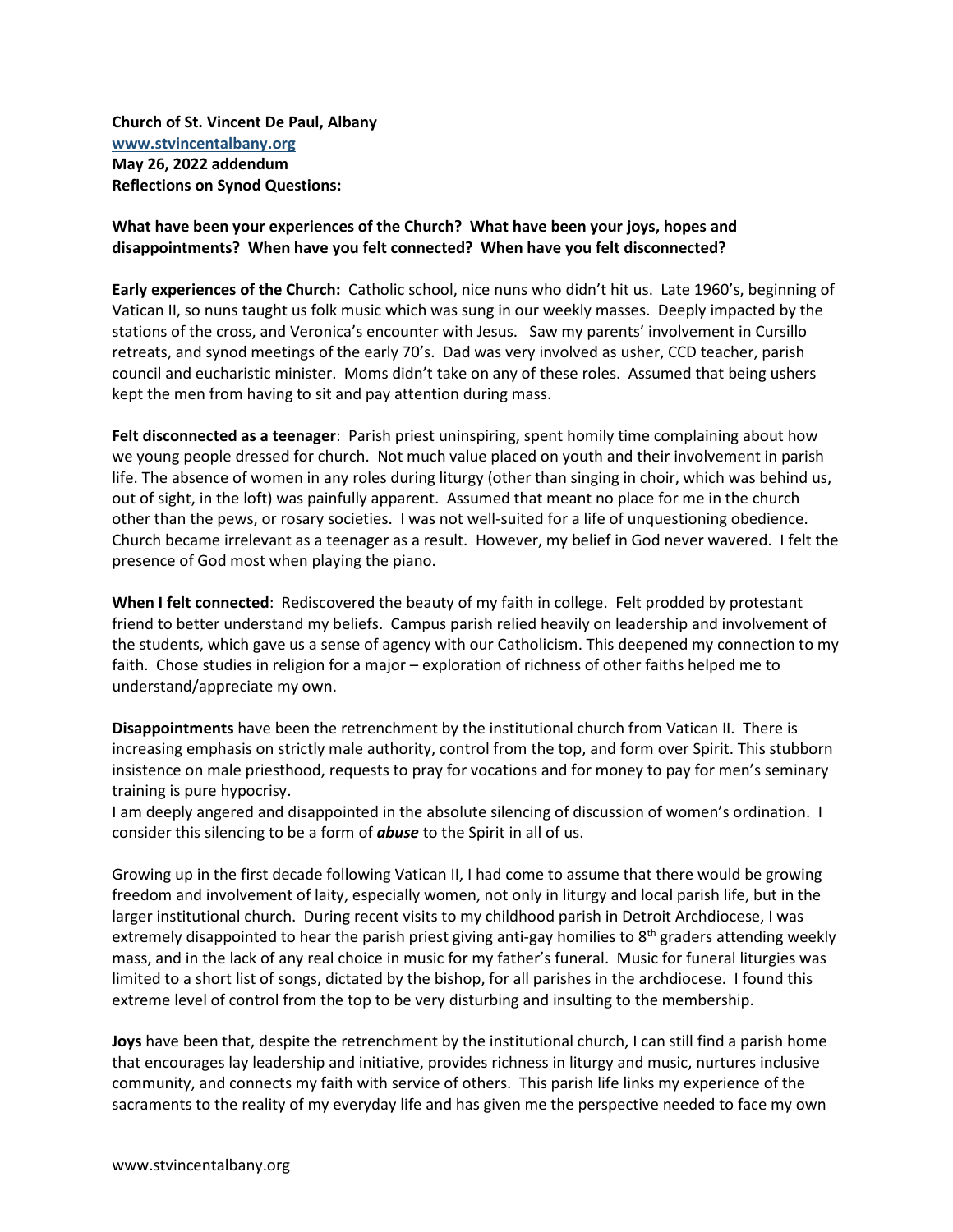**Church of St. Vincent De Paul, Albany [www.stvincentalbany.org](http://www.stvincentalbany.org/) May 26, 2022 addendum Reflections on Synod Questions:**

## **What have been your experiences of the Church? What have been your joys, hopes and disappointments? When have you felt connected? When have you felt disconnected?**

**Early experiences of the Church:** Catholic school, nice nuns who didn't hit us. Late 1960's, beginning of Vatican II, so nuns taught us folk music which was sung in our weekly masses. Deeply impacted by the stations of the cross, and Veronica's encounter with Jesus. Saw my parents' involvement in Cursillo retreats, and synod meetings of the early 70's. Dad was very involved as usher, CCD teacher, parish council and eucharistic minister. Moms didn't take on any of these roles. Assumed that being ushers kept the men from having to sit and pay attention during mass.

Felt disconnected as a teenager: Parish priest uninspiring, spent homily time complaining about how we young people dressed for church. Not much value placed on youth and their involvement in parish life. The absence of women in any roles during liturgy (other than singing in choir, which was behind us, out of sight, in the loft) was painfully apparent. Assumed that meant no place for me in the church other than the pews, or rosary societies. I was not well-suited for a life of unquestioning obedience. Church became irrelevant as a teenager as a result. However, my belief in God never wavered. I felt the presence of God most when playing the piano.

**When I felt connected**: Rediscovered the beauty of my faith in college. Felt prodded by protestant friend to better understand my beliefs. Campus parish relied heavily on leadership and involvement of the students, which gave us a sense of agency with our Catholicism. This deepened my connection to my faith. Chose studies in religion for a major – exploration of richness of other faiths helped me to understand/appreciate my own.

**Disappointments** have been the retrenchment by the institutional church from Vatican II. There is increasing emphasis on strictly male authority, control from the top, and form over Spirit. This stubborn insistence on male priesthood, requests to pray for vocations and for money to pay for men's seminary training is pure hypocrisy.

I am deeply angered and disappointed in the absolute silencing of discussion of women's ordination. I consider this silencing to be a form of *abuse* to the Spirit in all of us.

Growing up in the first decade following Vatican II, I had come to assume that there would be growing freedom and involvement of laity, especially women, not only in liturgy and local parish life, but in the larger institutional church. During recent visits to my childhood parish in Detroit Archdiocese, I was extremely disappointed to hear the parish priest giving anti-gay homilies to 8<sup>th</sup> graders attending weekly mass, and in the lack of any real choice in music for my father's funeral. Music for funeral liturgies was limited to a short list of songs, dictated by the bishop, for all parishes in the archdiocese. I found this extreme level of control from the top to be very disturbing and insulting to the membership.

**Joys** have been that, despite the retrenchment by the institutional church, I can still find a parish home that encourages lay leadership and initiative, provides richness in liturgy and music, nurtures inclusive community, and connects my faith with service of others. This parish life links my experience of the sacraments to the reality of my everyday life and has given me the perspective needed to face my own